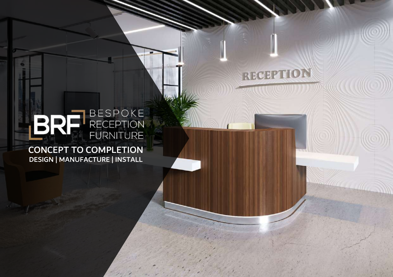## RECEPTION

# BRE BESPOKE

DESIGN | MANUFACTURE | INSTALL CONCEPT TO COMPLETION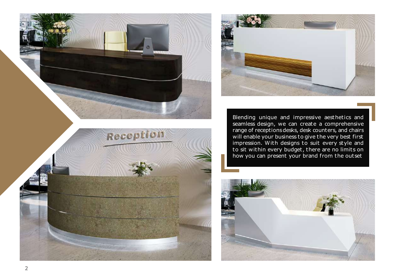

Blending unique and impressive aesthetics and seamless design, we can create a comprehensive range of receptions desks, desk counters, and chairs will enable your business to give the very best first impression. With designs to suit every style and to sit within every budget, there are no limits on how you can present your brand from the outset



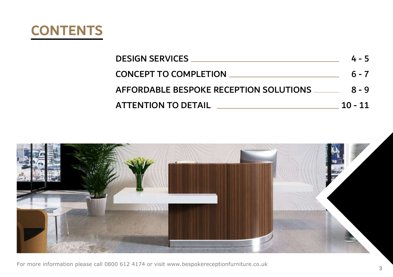

| <b>DESIGN SERVICES</b>                 | $4 - 5$   |
|----------------------------------------|-----------|
| <b>CONCEPT TO COMPLETION</b>           | $6 - 7$   |
| AFFORDABLE BESPOKE RECEPTION SOLUTIONS | 8 - 9     |
| <b>ATTENTION TO DETAIL</b>             | $10 - 11$ |

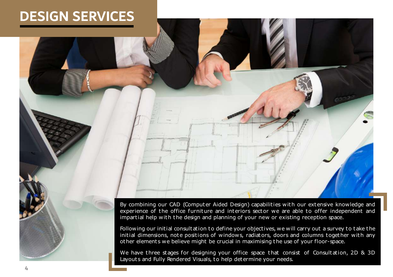## **DESIGN SERVICES**

By combining our CAD (Computer Aided Design) capabilities with our extensive knowledge and experience of the office furniture and interiors sector we are able to offer independent and impartial help with the design and planning of your new or existing reception space.

Following our initial consultation to define your objectives, we will carry out a survey to take the initial dimensions, note positions of windows, radiators, doors and columns together with any other element s we believe might be crucial in maximising the use of your floor-space.

We have three stages for designing your office space that consist of Consultation, 2D & 3D Layouts and Fully Rendered Visuals, to help determine your needs.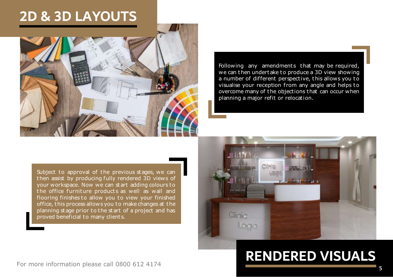## **2D & 3D LAYOUTS**



Following any amendments that may be required, we can then undertake to produce a 3D view showing a number of different perspective, this allows you to visualise your reception from any angle and helps to overcome many of the objections that can occur when planning a major refit or relocation.

Subject to approval of the previous stages, we can then assist by producing fully rendered 3D views of your workspace. Now we can st art adding colours to the office furniture products as well as wall and flooring finishes to allow you to view your finished office, this process allows you to make changes at the planning st age prior to the st art of a project and has proved beneficial to many client s.



## **RENDERED VISUALS**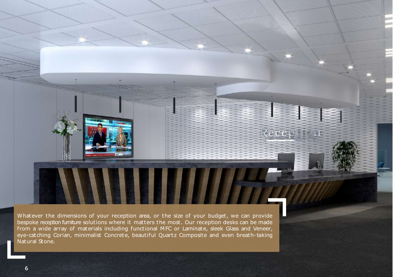Whatever the dimensions of your reception area, or the size of your budget, we can provide bespoke reception furniture solutions where it matters the most . Our reception desks can be made from a wide array of materials including functional MFC or Laminate, sleek Glass and Veneer, eye-catching Corian, minimalist Concrete, beautiful Quartz Composite and even breath- taking Natural Stone.

**CONTRACTOR** 

l

Ì

Reception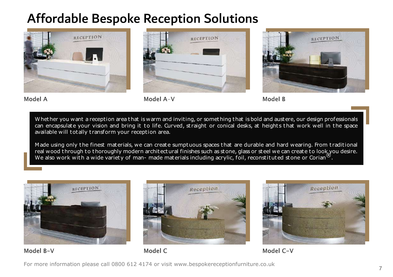#### Affordable Bespoke Reception Solutions



Model A



Model A-V





Whether you want a reception area that is warm and inviting, or something that is bold and austere, our design professionals can encapsulate your vision and bring it to life. Curved, straight or conical desks, at heights that work well in the space available will tot ally t ransform your reception area.

M ade using only the finest materials, we can creat e sumptuous spaces that are durable and hard wearing. From t raditional real wood through to thoroughly modern architectural finishes such as stone, glass or steel we can create to look you desire. We also work with a wide variety of man- made materials including acrylic, foil, reconstituted stone or Corian<sup>®</sup>.



Reception



Model B-V

Model C

Model C-V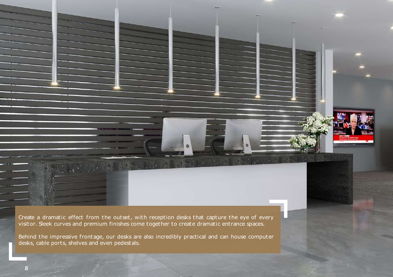Create a dramatic effect from the outset, with reception desks that capture the eye of every visitor. Sleek curves and premium finishes come together to create dramatic entrance spaces.

Behind the impressive frontage, our desks are also incredibly practical and can house computer desks, cable ports, shelves and even pedestals.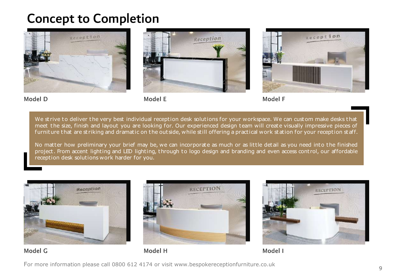#### Concept to Completion



Model D

Model E



We strive to deliver the very best individual reception desk solutions for your workspace. We can custom make desks that meet the size, finish and layout you are looking for. Our experienced design team will creat e visually impressive pieces of furniture that are striking and dramatic on the outside, while still offering a practical work station for your reception staff.

No matter how preliminary your brief may be, we can incorporate as much or as little detail as you need into the finished project . From accent lighting and LED lighting, through to logo design and branding and even access cont rol, our affordable reception desk solutions work harder for you.







Model G

Model H

Model I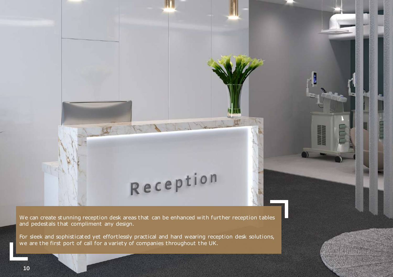We can create stunning reception desk areas that can be enhanced with further reception tables and pedestals that compliment any design.

Reception

For sleek and sophisticated yet effortlessly practical and hard wearing reception desk solutions, we are the first port of call for a variety of companies throughout the UK.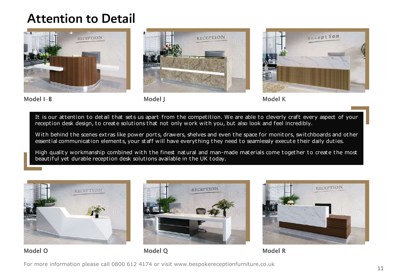#### Attention to Detail



Model I-B



Model I





It is our attention to detail that sets us apart from the competition. We are able to cleverly craft every aspect of your reception desk design, to create solutions that not only work with you, but also look and feel incredibly.

With behind the scenes extras like power ports, drawers, shelves and even the space for monitors, switchboards and other essential communication elements, your staff will have everything they need to seamlessly execute their daily duties.

High quality workmanship combined with the finest natural and man-made materials come together to create the most beautiful yet durable reception desk solutions available in the UK t oday.





Model O



Model O

Model R